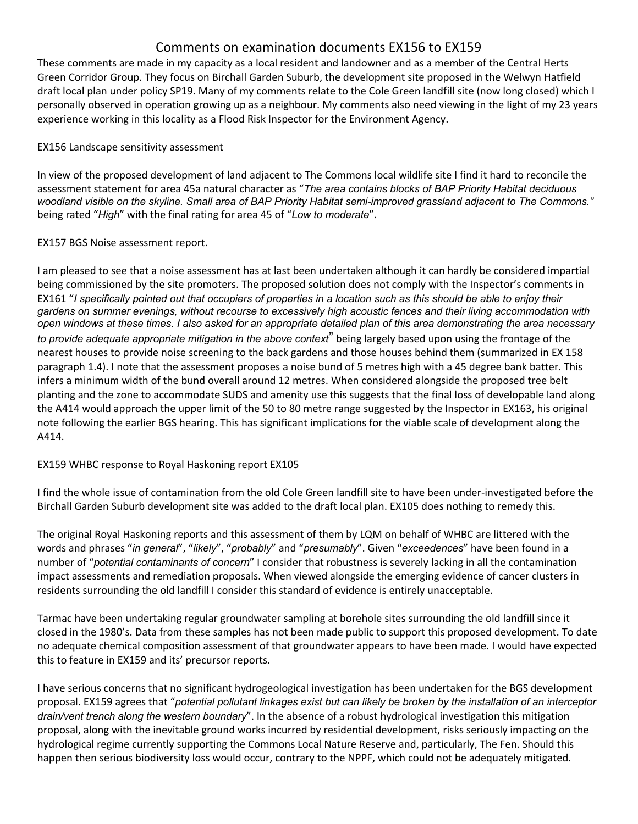# Comments on examination documents EX156 to EX159

These comments are made in my capacity as a local resident and landowner and as a member of the Central Herts Green Corridor Group. They focus on Birchall Garden Suburb, the development site proposed in the Welwyn Hatfield draft local plan under policy SP19. Many of my comments relate to the Cole Green landfill site (now long closed) which I personally observed in operation growing up as a neighbour. My comments also need viewing in the light of my 23 years experience working in this locality as a Flood Risk Inspector for the Environment Agency.

### EX156 Landscape sensitivity assessment

In view of the proposed development of land adjacent to The Commons local wildlife site I find it hard to reconcile the assessment statement for area 45a natural character as "*The area contains blocks of BAP Priority Habitat deciduous woodland visible on the skyline. Small area of BAP Priority Habitat semi-improved grassland adjacent to The Commons."* being rated "*High*" with the final rating for area 45 of "*Low to moderate*".

## EX157 BGS Noise assessment report.

I am pleased to see that a noise assessment has at last been undertaken although it can hardly be considered impartial being commissioned by the site promoters. The proposed solution does not comply with the Inspector's comments in EX161 "*I specifically pointed out that occupiers of properties in a location such as this should be able to enjoy their gardens on summer evenings, without recourse to excessively high acoustic fences and their living accommodation with open windows at these times. I also asked for an appropriate detailed plan of this area demonstrating the area necessary to provide adequate appropriate mitigation in the above context*" being largely based upon using the frontage of the nearest houses to provide noise screening to the back gardens and those houses behind them (summarized in EX 158 paragraph 1.4). I note that the assessment proposes a noise bund of 5 metres high with a 45 degree bank batter. This infers a minimum width of the bund overall around 12 metres. When considered alongside the proposed tree belt planting and the zone to accommodate SUDS and amenity use this suggests that the final loss of developable land along the A414 would approach the upper limit of the 50 to 80 metre range suggested by the Inspector in EX163, his original note following the earlier BGS hearing. This has significant implications for the viable scale of development along the A414.

# EX159 WHBC response to Royal Haskoning report EX105

I find the whole issue of contamination from the old Cole Green landfill site to have been under-investigated before the Birchall Garden Suburb development site was added to the draft local plan. EX105 does nothing to remedy this.

The original Royal Haskoning reports and this assessment of them by LQM on behalf of WHBC are littered with the words and phrases "*in general*", "*likely*", "*probably*" and "*presumably*". Given "*exceedences*" have been found in a number of "*potential contaminants of concern*" I consider that robustness is severely lacking in all the contamination impact assessments and remediation proposals. When viewed alongside the emerging evidence of cancer clusters in residents surrounding the old landfill I consider this standard of evidence is entirely unacceptable.

Tarmac have been undertaking regular groundwater sampling at borehole sites surrounding the old landfill since it closed in the 1980's. Data from these samples has not been made public to support this proposed development. To date no adequate chemical composition assessment of that groundwater appears to have been made. I would have expected this to feature in EX159 and its' precursor reports.

I have serious concerns that no significant hydrogeological investigation has been undertaken for the BGS development proposal. EX159 agrees that "*potential pollutant linkages exist but can likely be broken by the installation of an interceptor drain/vent trench along the western boundary*". In the absence of a robust hydrological investigation this mitigation proposal, along with the inevitable ground works incurred by residential development, risks seriously impacting on the hydrological regime currently supporting the Commons Local Nature Reserve and, particularly, The Fen. Should this happen then serious biodiversity loss would occur, contrary to the NPPF, which could not be adequately mitigated.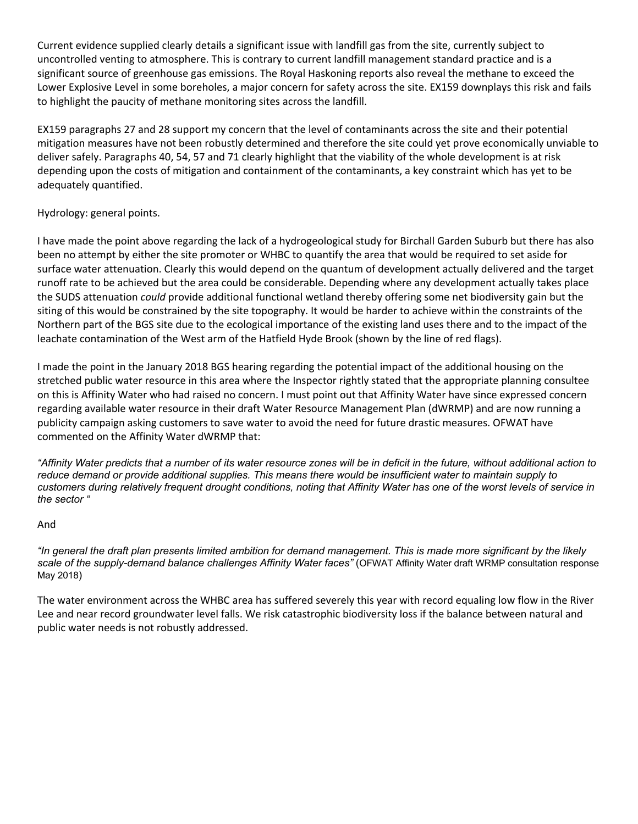Current evidence supplied clearly details a significant issue with landfill gas from the site, currently subject to uncontrolled venting to atmosphere. This is contrary to current landfill management standard practice and is a significant source of greenhouse gas emissions. The Royal Haskoning reports also reveal the methane to exceed the Lower Explosive Level in some boreholes, a major concern for safety across the site. EX159 downplays this risk and fails to highlight the paucity of methane monitoring sites across the landfill.

EX159 paragraphs 27 and 28 support my concern that the level of contaminants across the site and their potential mitigation measures have not been robustly determined and therefore the site could yet prove economically unviable to deliver safely. Paragraphs 40, 54, 57 and 71 clearly highlight that the viability of the whole development is at risk depending upon the costs of mitigation and containment of the contaminants, a key constraint which has yet to be adequately quantified.

## Hydrology: general points.

I have made the point above regarding the lack of a hydrogeological study for Birchall Garden Suburb but there has also been no attempt by either the site promoter or WHBC to quantify the area that would be required to set aside for surface water attenuation. Clearly this would depend on the quantum of development actually delivered and the target runoff rate to be achieved but the area could be considerable. Depending where any development actually takes place the SUDS attenuation *could* provide additional functional wetland thereby offering some net biodiversity gain but the siting of this would be constrained by the site topography. It would be harder to achieve within the constraints of the Northern part of the BGS site due to the ecological importance of the existing land uses there and to the impact of the leachate contamination of the West arm of the Hatfield Hyde Brook (shown by the line of red flags).

I made the point in the January 2018 BGS hearing regarding the potential impact of the additional housing on the stretched public water resource in this area where the Inspector rightly stated that the appropriate planning consultee on this is Affinity Water who had raised no concern. I must point out that Affinity Water have since expressed concern regarding available water resource in their draft Water Resource Management Plan (dWRMP) and are now running a publicity campaign asking customers to save water to avoid the need for future drastic measures. OFWAT have commented on the Affinity Water dWRMP that:

*"Affinity Water predicts that a number of its water resource zones will be in deficit in the future, without additional action to reduce demand or provide additional supplies. This means there would be insufficient water to maintain supply to customers during relatively frequent drought conditions, noting that Affinity Water has one of the worst levels of service in the sector "*

### And

*"In general the draft plan presents limited ambition for demand management. This is made more significant by the likely scale of the supply-demand balance challenges Affinity Water faces"* (OFWAT Affinity Water draft WRMP consultation response May 2018)

The water environment across the WHBC area has suffered severely this year with record equaling low flow in the River Lee and near record groundwater level falls. We risk catastrophic biodiversity loss if the balance between natural and public water needs is not robustly addressed.